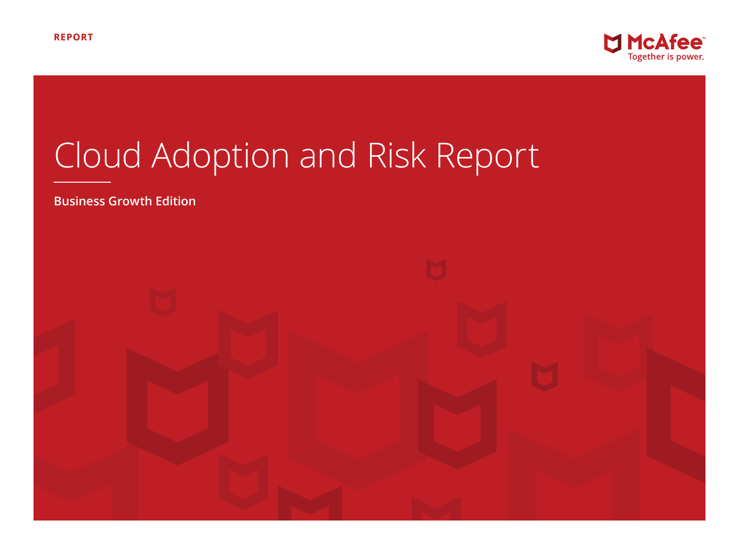

# Cloud Adoption and Risk Report

**Business Growth Edition**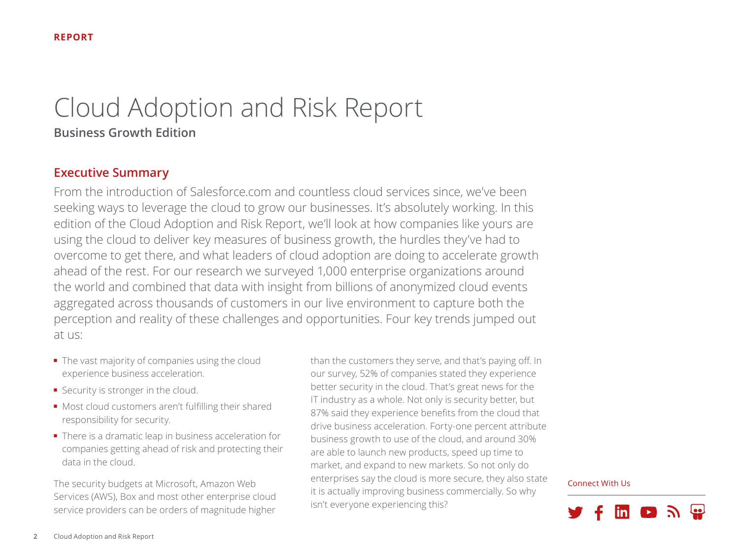# Cloud Adoption and Risk Report **Business Growth Edition**

# **Executive Summary**

From the introduction of Salesforce.com and countless cloud services since, we've been seeking ways to leverage the cloud to grow our businesses. It's absolutely working. In this edition of the Cloud Adoption and Risk Report, we'll look at how companies like yours are using the cloud to deliver key measures of business growth, the hurdles they've had to overcome to get there, and what leaders of cloud adoption are doing to accelerate growth ahead of the rest. For our research we surveyed 1,000 enterprise organizations around the world and combined that data with insight from billions of anonymized cloud events aggregated across thousands of customers in our live environment to capture both the perception and reality of these challenges and opportunities. Four key trends jumped out at us:

- The vast majority of companies using the cloud experience business acceleration.
- Security is stronger in the cloud.
- Most cloud customers aren't fulfilling their shared responsibility for security.
- There is a dramatic leap in business acceleration for companies getting ahead of risk and protecting their data in the cloud.

The security budgets at Microsoft, Amazon Web Services (AWS), Box and most other enterprise cloud service providers can be orders of magnitude higher than the customers they serve, and that's paying off. In our survey, 52% of companies stated they experience better security in the cloud. That's great news for the IT industry as a whole. Not only is security better, but 87% said they experience benefits from the cloud that drive business acceleration. Forty-one percent attribute business growth to use of the cloud, and around 30% are able to launch new products, speed up time to market, and expand to new markets. So not only do enterprises say the cloud is more secure, they also state it is actually improving business commercially. So why isn't everyone experiencing this?

Connect With Us

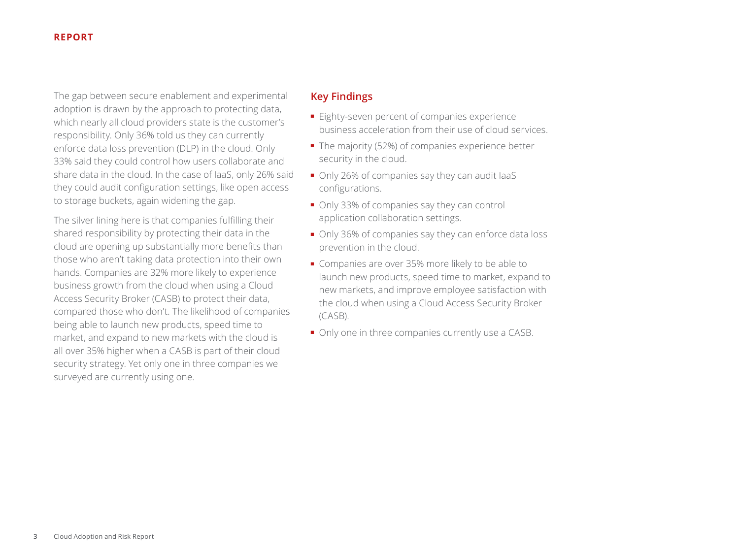The gap between secure enablement and experimental adoption is drawn by the approach to protecting data, which nearly all cloud providers state is the customer's responsibility. Only 36% told us they can currently enforce data loss prevention (DLP) in the cloud. Only 33% said they could control how users collaborate and share data in the cloud. In the case of IaaS, only 26% said they could audit configuration settings, like open access to storage buckets, again widening the gap.

The silver lining here is that companies fulfilling their shared responsibility by protecting their data in the cloud are opening up substantially more benefits than those who aren't taking data protection into their own hands. Companies are 32% more likely to experience business growth from the cloud when using a Cloud Access Security Broker (CASB) to protect their data, compared those who don't. The likelihood of companies being able to launch new products, speed time to market, and expand to new markets with the cloud is all over 35% higher when a CASB is part of their cloud security strategy. Yet only one in three companies we surveyed are currently using one.

# **Key Findings**

- Eighty-seven percent of companies experience business acceleration from their use of cloud services.
- The majority (52%) of companies experience better security in the cloud.
- Only 26% of companies say they can audit laaS configurations.
- Only 33% of companies say they can control application collaboration settings.
- Only 36% of companies say they can enforce data loss prevention in the cloud.
- Companies are over 35% more likely to be able to launch new products, speed time to market, expand to new markets, and improve employee satisfaction with the cloud when using a Cloud Access Security Broker (CASB).
- Only one in three companies currently use a CASB.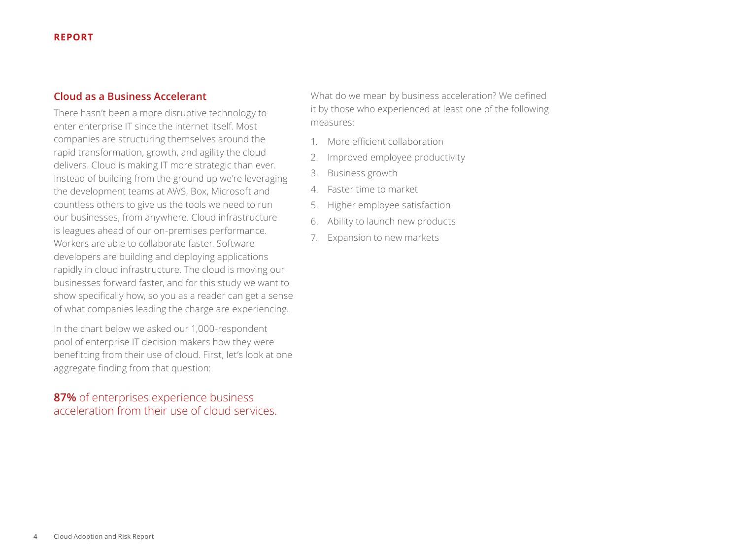# **Cloud as a Business Accelerant**

There hasn't been a more disruptive technology to enter enterprise IT since the internet itself. Most companies are structuring themselves around the rapid transformation, growth, and agility the cloud delivers. Cloud is making IT more strategic than ever. Instead of building from the ground up we're leveraging the development teams at AWS, Box, Microsoft and countless others to give us the tools we need to run our businesses, from anywhere. Cloud infrastructure is leagues ahead of our on-premises performance. Workers are able to collaborate faster. Software developers are building and deploying applications rapidly in cloud infrastructure. The cloud is moving our businesses forward faster, and for this study we want to show specifically how, so you as a reader can get a sense of what companies leading the charge are experiencing.

In the chart below we asked our 1,000-respondent pool of enterprise IT decision makers how they were benefitting from their use of cloud. First, let's look at one aggregate finding from that question:

# **87%** of enterprises experience business acceleration from their use of cloud services.

What do we mean by business acceleration? We defined it by those who experienced at least one of the following measures:

- 1. More efficient collaboration
- 2. Improved employee productivity
- 3. Business growth
- 4. Faster time to market
- 5. Higher employee satisfaction
- 6. Ability to launch new products
- 7. Expansion to new markets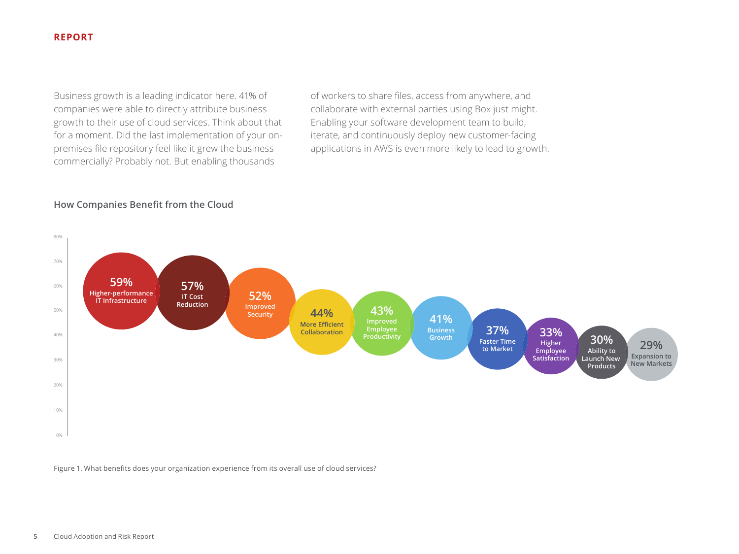Business growth is a leading indicator here. 41% of companies were able to directly attribute business growth to their use of cloud services. Think about that for a moment. Did the last implementation of your onpremises file repository feel like it grew the business commercially? Probably not. But enabling thousands

of workers to share files, access from anywhere, and collaborate with external parties using Box just might. Enabling your software development team to build, iterate, and continuously deploy new customer-facing applications in AWS is even more likely to lead to growth.

#### **How Companies Benefit from the Cloud**



Figure 1. What benefits does your organization experience from its overall use of cloud services?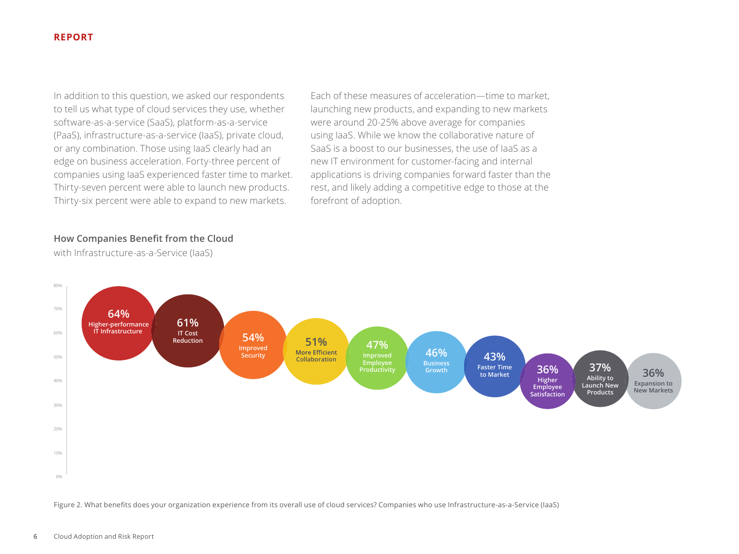In addition to this question, we asked our respondents to tell us what type of cloud services they use, whether software-as-a-service (SaaS), platform-as-a-service (PaaS), infrastructure-as-a-service (IaaS), private cloud, or any combination. Those using IaaS clearly had an edge on business acceleration. Forty-three percent of companies using IaaS experienced faster time to market. Thirty-seven percent were able to launch new products. Thirty-six percent were able to expand to new markets.

Each of these measures of acceleration—time to market, launching new products, and expanding to new markets were around 20-25% above average for companies using IaaS. While we know the collaborative nature of SaaS is a boost to our businesses, the use of IaaS as a new IT environment for customer-facing and internal applications is driving companies forward faster than the rest, and likely adding a competitive edge to those at the forefront of adoption.

#### **How Companies Benefit from the Cloud**

with Infrastructure-as-a-Service (IaaS)



Figure 2. What benefits does your organization experience from its overall use of cloud services? Companies who use Infrastructure-as-a-Service (IaaS)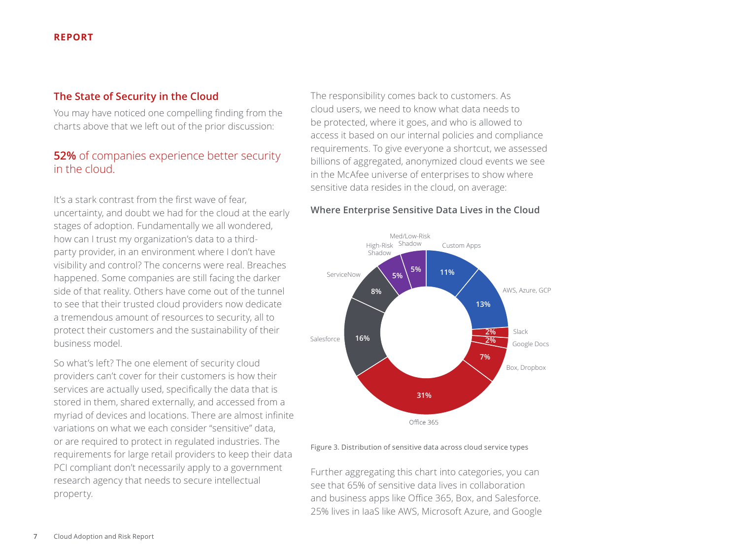# **The State of Security in the Cloud**

You may have noticed one compelling finding from the charts above that we left out of the prior discussion:

# **52%** of companies experience better security in the cloud.

It's a stark contrast from the first wave of fear, uncertainty, and doubt we had for the cloud at the early stages of adoption. Fundamentally we all wondered, how can I trust my organization's data to a thirdparty provider, in an environment where I don't have visibility and control? The concerns were real. Breaches happened. Some companies are still facing the darker side of that reality. Others have come out of the tunnel to see that their trusted cloud providers now dedicate a tremendous amount of resources to security, all to protect their customers and the sustainability of their business model.

So what's left? The one element of security cloud providers can't cover for their customers is how their services are actually used, specifically the data that is stored in them, shared externally, and accessed from a myriad of devices and locations. There are almost infinite variations on what we each consider "sensitive" data, or are required to protect in regulated industries. The requirements for large retail providers to keep their data PCI compliant don't necessarily apply to a government research agency that needs to secure intellectual property.

The responsibility comes back to customers. As cloud users, we need to know what data needs to be protected, where it goes, and who is allowed to access it based on our internal policies and compliance requirements. To give everyone a shortcut, we assessed billions of aggregated, anonymized cloud events we see in the McAfee universe of enterprises to show where sensitive data resides in the cloud, on average:

#### **Where Enterprise Sensitive Data Lives in the Cloud**



Figure 3. Distribution of sensitive data across cloud service types

Further aggregating this chart into categories, you can see that 65% of sensitive data lives in collaboration and business apps like Office 365, Box, and Salesforce. 25% lives in IaaS like AWS, Microsoft Azure, and Google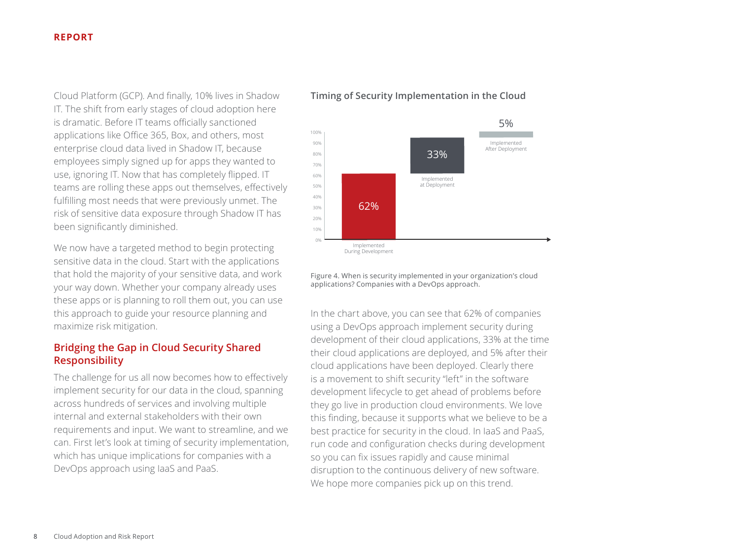Cloud Platform (GCP). And finally, 10% lives in Shadow IT. The shift from early stages of cloud adoption here is dramatic. Before IT teams officially sanctioned applications like Office 365, Box, and others, most enterprise cloud data lived in Shadow IT, because employees simply signed up for apps they wanted to use, ignoring IT. Now that has completely flipped. IT teams are rolling these apps out themselves, effectively fulfilling most needs that were previously unmet. The risk of sensitive data exposure through Shadow IT has been significantly diminished.

We now have a targeted method to begin protecting sensitive data in the cloud. Start with the applications that hold the majority of your sensitive data, and work your way down. Whether your company already uses these apps or is planning to roll them out, you can use this approach to guide your resource planning and maximize risk mitigation.

# **Bridging the Gap in Cloud Security Shared Responsibility**

The challenge for us all now becomes how to effectively implement security for our data in the cloud, spanning across hundreds of services and involving multiple internal and external stakeholders with their own requirements and input. We want to streamline, and we can. First let's look at timing of security implementation, which has unique implications for companies with a DevOps approach using IaaS and PaaS.

# **Timing of Security Implementation in the Cloud**



Figure 4. When is security implemented in your organization's cloud applications? Companies with a DevOps approach.

In the chart above, you can see that 62% of companies using a DevOps approach implement security during development of their cloud applications, 33% at the time their cloud applications are deployed, and 5% after their cloud applications have been deployed. Clearly there is a movement to shift security "left" in the software development lifecycle to get ahead of problems before they go live in production cloud environments. We love this finding, because it supports what we believe to be a best practice for security in the cloud. In IaaS and PaaS, run code and configuration checks during development so you can fix issues rapidly and cause minimal disruption to the continuous delivery of new software. We hope more companies pick up on this trend.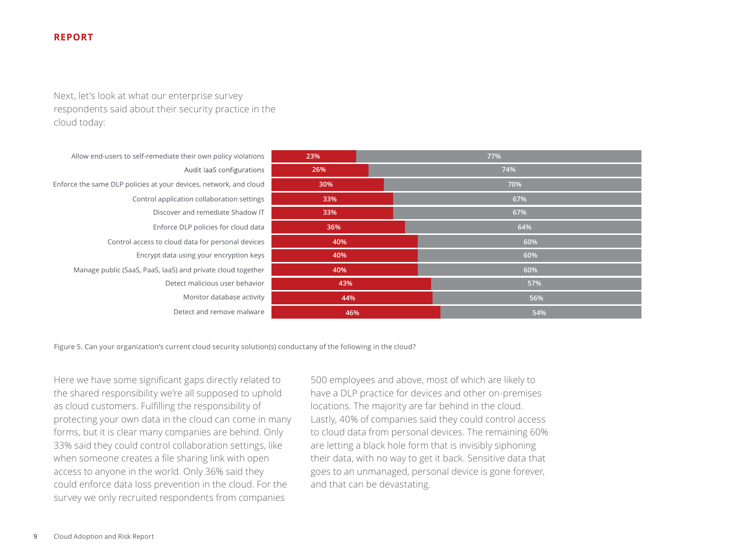Next, let's look at what our enterprise survey respondents said about their security practice in the cloud today:

Allow end-users to self-remediate their own policy violations Audit laaS configurations Enforce the same DLP policies at your devices, network, and cloud Control application collaboration settings Discover and remediate Shadow IT Enforce DLP policies for cloud data Control access to cloud data for personal devices Encrypt data using your encryption keys Manage public (SaaS, PaaS, IaaS) and private cloud together Detect malicious user behavior Monitor database activity Detect and remove malware

| 23% | 77% |
|-----|-----|
| 26% | 74% |
| 30% | 70% |
| 33% | 67% |
| 33% | 67% |
| 36% | 64% |
| 40% | 60% |
| 40% | 60% |
| 40% | 60% |
| 43% | 57% |
| 44% | 56% |
| 46% | 54% |

Figure 5. Can your organization's current cloud security solution(s) conductany of the following in the cloud?

Here we have some significant gaps directly related to the shared responsibility we're all supposed to uphold as cloud customers. Fulfilling the responsibility of protecting your own data in the cloud can come in many forms, but it is clear many companies are behind. Only 33% said they could control collaboration settings, like when someone creates a file sharing link with open access to anyone in the world. Only 36% said they could enforce data loss prevention in the cloud. For the survey we only recruited respondents from companies

500 employees and above, most of which are likely to have a DLP practice for devices and other on-premises locations. The majority are far behind in the cloud. Lastly, 40% of companies said they could control access to cloud data from personal devices. The remaining 60% are letting a black hole form that is invisibly siphoning their data, with no way to get it back. Sensitive data that goes to an unmanaged, personal device is gone forever, and that can be devastating.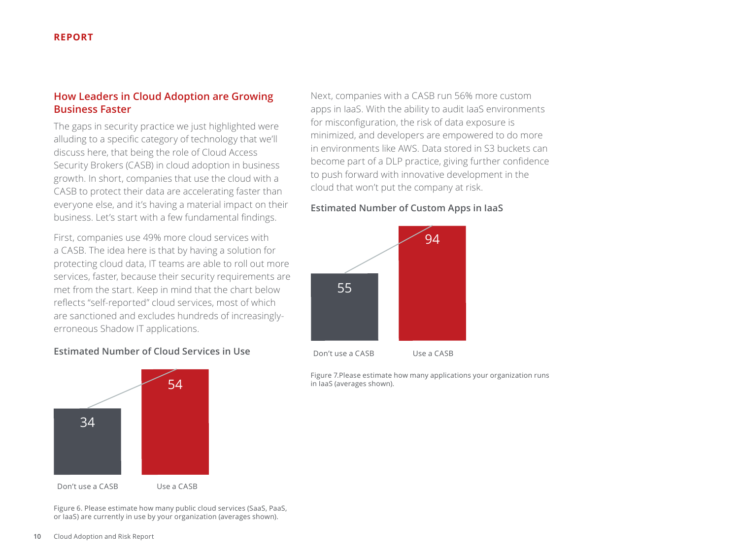# **How Leaders in Cloud Adoption are Growing Business Faster**

The gaps in security practice we just highlighted were alluding to a specific category of technology that we'll discuss here, that being the role of Cloud Access Security Brokers (CASB) in cloud adoption in business growth. In short, companies that use the cloud with a CASB to protect their data are accelerating faster than everyone else, and it's having a material impact on their business. Let's start with a few fundamental findings.

First, companies use 49% more cloud services with a CASB. The idea here is that by having a solution for protecting cloud data, IT teams are able to roll out more services, faster, because their security requirements are met from the start. Keep in mind that the chart below reflects "self-reported" cloud services, most of which are sanctioned and excludes hundreds of increasinglyerroneous Shadow IT applications.

#### **Estimated Number of Cloud Services in Use**



Figure 6. Please estimate how many public cloud services (SaaS, PaaS, or IaaS) are currently in use by your organization (averages shown).

Next, companies with a CASB run 56% more custom apps in IaaS. With the ability to audit IaaS environments for misconfiguration, the risk of data exposure is minimized, and developers are empowered to do more in environments like AWS. Data stored in S3 buckets can become part of a DLP practice, giving further confidence to push forward with innovative development in the cloud that won't put the company at risk.

#### **Estimated Number of Custom Apps in IaaS**



Figure 7.Please estimate how many applications your organization runs in IaaS (averages shown).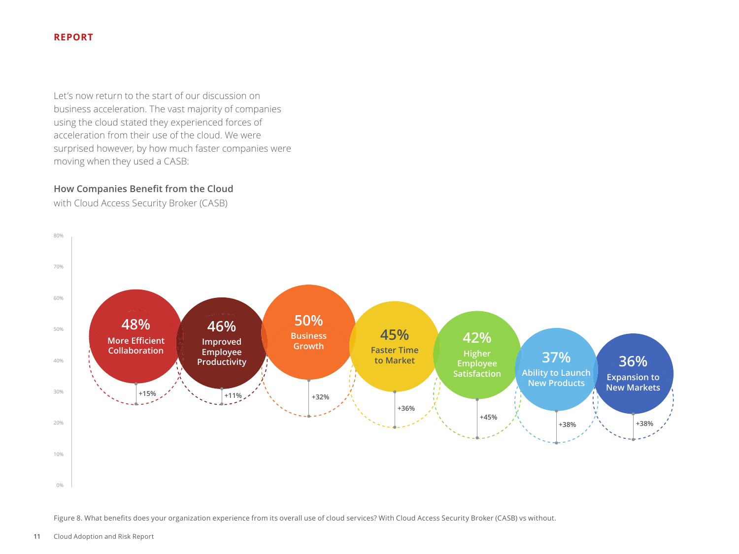Let's now return to the start of our discussion on business acceleration. The vast majority of companies using the cloud stated they experienced forces of acceleration from their use of the cloud. We were surprised however, by how much faster companies were moving when they used a CASB:

#### **How Companies Benefit from the Cloud**

with Cloud Access Security Broker (CASB)



Figure 8. What benefits does your organization experience from its overall use of cloud services? With Cloud Access Security Broker (CASB) vs without.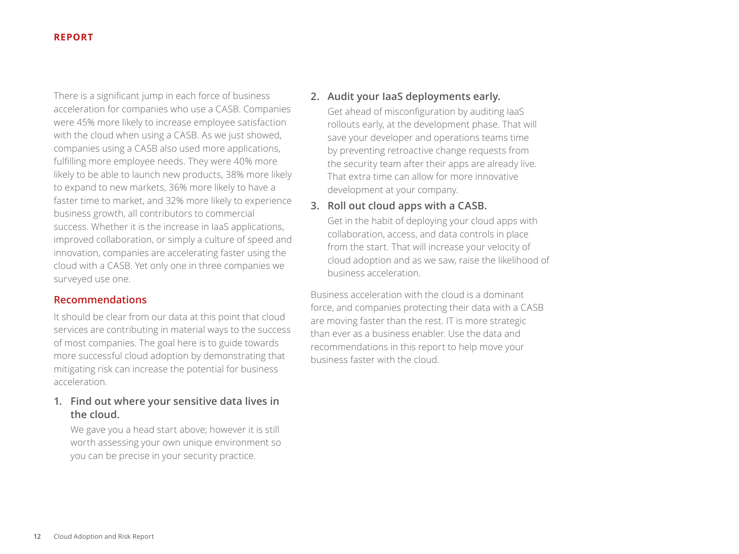There is a significant jump in each force of business acceleration for companies who use a CASB. Companies were 45% more likely to increase employee satisfaction with the cloud when using a CASB. As we just showed, companies using a CASB also used more applications, fulfilling more employee needs. They were 40% more likely to be able to launch new products, 38% more likely to expand to new markets, 36% more likely to have a faster time to market, and 32% more likely to experience business growth, all contributors to commercial success. Whether it is the increase in IaaS applications, improved collaboration, or simply a culture of speed and innovation, companies are accelerating faster using the cloud with a CASB. Yet only one in three companies we surveyed use one.

# **Recommendations**

It should be clear from our data at this point that cloud services are contributing in material ways to the success of most companies. The goal here is to guide towards more successful cloud adoption by demonstrating that mitigating risk can increase the potential for business acceleration.

# **1. Find out where your sensitive data lives in the cloud.**

We gave you a head start above; however it is still worth assessing your own unique environment so you can be precise in your security practice.

# **2. Audit your IaaS deployments early.**

Get ahead of misconfiguration by auditing IaaS rollouts early, at the development phase. That will save your developer and operations teams time by preventing retroactive change requests from the security team after their apps are already live. That extra time can allow for more innovative development at your company.

# **3. Roll out cloud apps with a CASB.**

Get in the habit of deploying your cloud apps with collaboration, access, and data controls in place from the start. That will increase your velocity of cloud adoption and as we saw, raise the likelihood of business acceleration.

Business acceleration with the cloud is a dominant force, and companies protecting their data with a CASB are moving faster than the rest. IT is more strategic than ever as a business enabler. Use the data and recommendations in this report to help move your business faster with the cloud.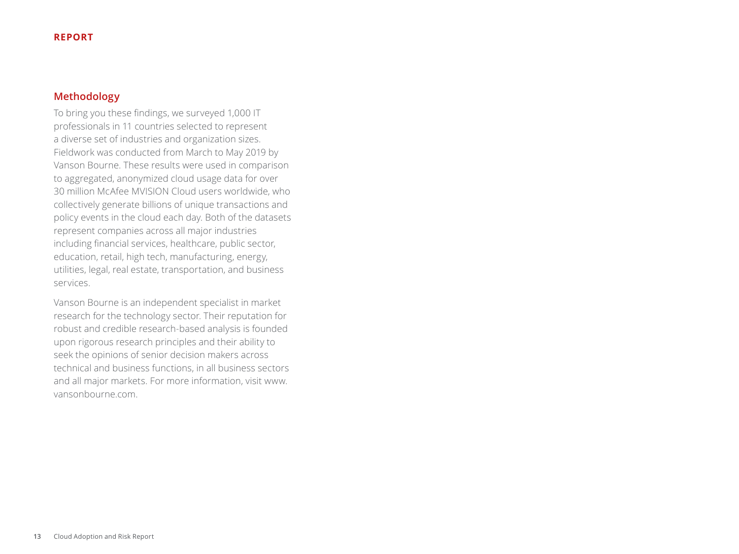# **Methodology**

To bring you these findings, we surveyed 1,000 IT professionals in 11 countries selected to represent a diverse set of industries and organization sizes. Fieldwork was conducted from March to May 2019 by Vanson Bourne. These results were used in comparison to aggregated, anonymized cloud usage data for over 30 million McAfee MVISION Cloud users worldwide, who collectively generate billions of unique transactions and policy events in the cloud each day. Both of the datasets represent companies across all major industries including financial services, healthcare, public sector, education, retail, high tech, manufacturing, energy, utilities, legal, real estate, transportation, and business services.

Vanson Bourne is an independent specialist in market research for the technology sector. Their reputation for robust and credible research-based analysis is founded upon rigorous research principles and their ability to seek the opinions of senior decision makers across technical and business functions, in all business sectors and all major markets. For more information, visit www. [vansonbourne.com](http://vansonbourne.com).